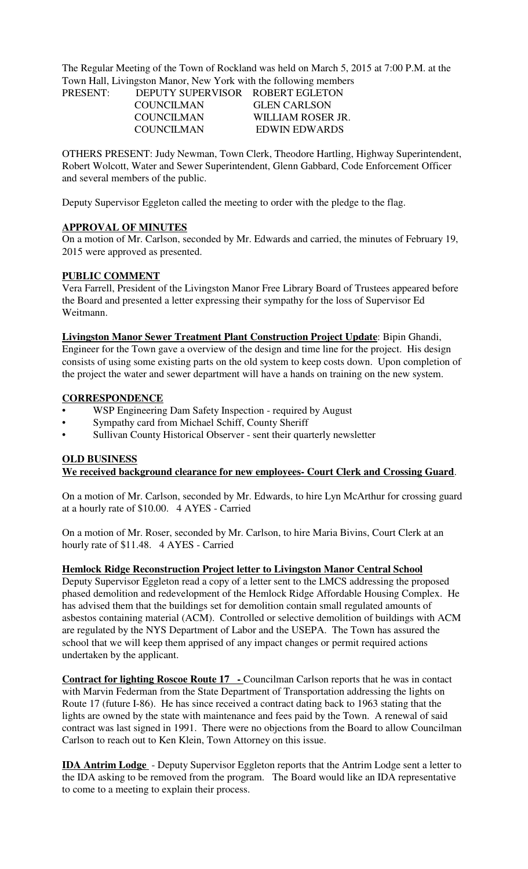The Regular Meeting of the Town of Rockland was held on March 5, 2015 at 7:00 P.M. at the Town Hall, Livingston Manor, New York with the following members

> COUNCILMAN GLEN CARLSON COUNCILMAN WILLIAM ROSER JR. COUNCILMAN EDWIN EDWARDS

PRESENT: DEPUTY SUPERVISOR ROBERT EGLETON

OTHERS PRESENT: Judy Newman, Town Clerk, Theodore Hartling, Highway Superintendent, Robert Wolcott, Water and Sewer Superintendent, Glenn Gabbard, Code Enforcement Officer and several members of the public.

Deputy Supervisor Eggleton called the meeting to order with the pledge to the flag.

## **APPROVAL OF MINUTES**

On a motion of Mr. Carlson, seconded by Mr. Edwards and carried, the minutes of February 19, 2015 were approved as presented.

## **PUBLIC COMMENT**

Vera Farrell, President of the Livingston Manor Free Library Board of Trustees appeared before the Board and presented a letter expressing their sympathy for the loss of Supervisor Ed Weitmann.

**Livingston Manor Sewer Treatment Plant Construction Project Update**: Bipin Ghandi, Engineer for the Town gave a overview of the design and time line for the project. His design consists of using some existing parts on the old system to keep costs down. Upon completion of the project the water and sewer department will have a hands on training on the new system.

#### **CORRESPONDENCE**

- WSP Engineering Dam Safety Inspection required by August
- Sympathy card from Michael Schiff, County Sheriff
- Sullivan County Historical Observer sent their quarterly newsletter

### **OLD BUSINESS**

**We received background clearance for new employees- Court Clerk and Crossing Guard**.

On a motion of Mr. Carlson, seconded by Mr. Edwards, to hire Lyn McArthur for crossing guard at a hourly rate of \$10.00. 4 AYES - Carried

On a motion of Mr. Roser, seconded by Mr. Carlson, to hire Maria Bivins, Court Clerk at an hourly rate of \$11.48. 4 AYES - Carried

**Hemlock Ridge Reconstruction Project letter to Livingston Manor Central School**

Deputy Supervisor Eggleton read a copy of a letter sent to the LMCS addressing the proposed phased demolition and redevelopment of the Hemlock Ridge Affordable Housing Complex. He has advised them that the buildings set for demolition contain small regulated amounts of asbestos containing material (ACM). Controlled or selective demolition of buildings with ACM are regulated by the NYS Department of Labor and the USEPA. The Town has assured the school that we will keep them apprised of any impact changes or permit required actions undertaken by the applicant.

**Contract for lighting Roscoe Route 17** - Councilman Carlson reports that he was in contact with Marvin Federman from the State Department of Transportation addressing the lights on Route 17 (future I-86). He has since received a contract dating back to 1963 stating that the lights are owned by the state with maintenance and fees paid by the Town. A renewal of said contract was last signed in 1991. There were no objections from the Board to allow Councilman Carlson to reach out to Ken Klein, Town Attorney on this issue.

**IDA Antrim Lodge** - Deputy Supervisor Eggleton reports that the Antrim Lodge sent a letter to the IDA asking to be removed from the program. The Board would like an IDA representative to come to a meeting to explain their process.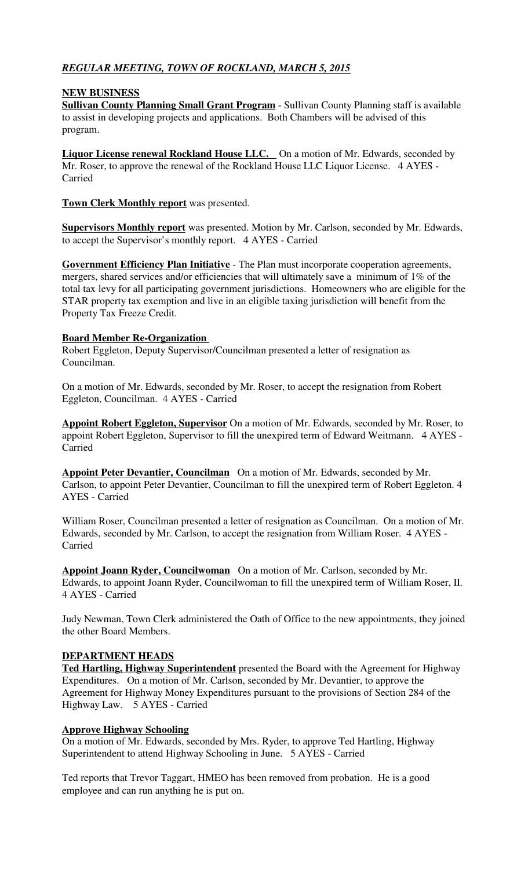# *REGULAR MEETING, TOWN OF ROCKLAND, MARCH 5, 2015*

## **NEW BUSINESS**

**Sullivan County Planning Small Grant Program** - Sullivan County Planning staff is available to assist in developing projects and applications. Both Chambers will be advised of this program.

**Liquor License renewal Rockland House LLC.** On a motion of Mr. Edwards, seconded by Mr. Roser, to approve the renewal of the Rockland House LLC Liquor License. 4 AYES - Carried

**Town Clerk Monthly report** was presented.

**Supervisors Monthly report** was presented. Motion by Mr. Carlson, seconded by Mr. Edwards, to accept the Supervisor's monthly report. 4 AYES - Carried

**Government Efficiency Plan Initiative** - The Plan must incorporate cooperation agreements, mergers, shared services and/or efficiencies that will ultimately save a minimum of 1% of the total tax levy for all participating government jurisdictions. Homeowners who are eligible for the STAR property tax exemption and live in an eligible taxing jurisdiction will benefit from the Property Tax Freeze Credit.

## **Board Member Re-Organization**

Robert Eggleton, Deputy Supervisor/Councilman presented a letter of resignation as Councilman.

On a motion of Mr. Edwards, seconded by Mr. Roser, to accept the resignation from Robert Eggleton, Councilman. 4 AYES - Carried

**Appoint Robert Eggleton, Supervisor** On a motion of Mr. Edwards, seconded by Mr. Roser, to appoint Robert Eggleton, Supervisor to fill the unexpired term of Edward Weitmann. 4 AYES - Carried

**Appoint Peter Devantier, Councilman** On a motion of Mr. Edwards, seconded by Mr. Carlson, to appoint Peter Devantier, Councilman to fill the unexpired term of Robert Eggleton. 4 AYES - Carried

William Roser, Councilman presented a letter of resignation as Councilman. On a motion of Mr. Edwards, seconded by Mr. Carlson, to accept the resignation from William Roser. 4 AYES - Carried

**Appoint Joann Ryder, Councilwoman** On a motion of Mr. Carlson, seconded by Mr. Edwards, to appoint Joann Ryder, Councilwoman to fill the unexpired term of William Roser, II. 4 AYES - Carried

Judy Newman, Town Clerk administered the Oath of Office to the new appointments, they joined the other Board Members.

#### **DEPARTMENT HEADS**

**Ted Hartling, Highway Superintendent** presented the Board with the Agreement for Highway Expenditures. On a motion of Mr. Carlson, seconded by Mr. Devantier, to approve the Agreement for Highway Money Expenditures pursuant to the provisions of Section 284 of the Highway Law. 5 AYES - Carried

#### **Approve Highway Schooling**

On a motion of Mr. Edwards, seconded by Mrs. Ryder, to approve Ted Hartling, Highway Superintendent to attend Highway Schooling in June. 5 AYES - Carried

Ted reports that Trevor Taggart, HMEO has been removed from probation. He is a good employee and can run anything he is put on.